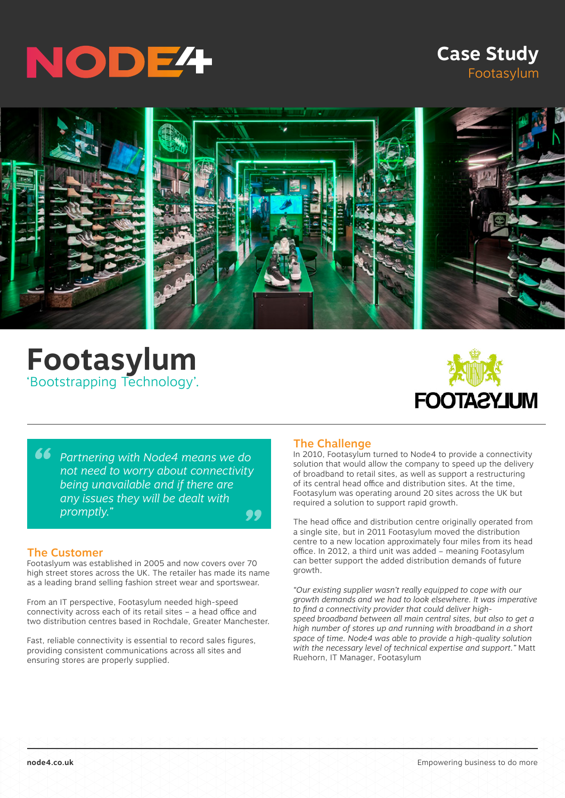

# **Case Study** Footasylum



# **Footasylum** 'Bootstrapping Technology'.



**<sup>66</sup>** Partnering with Node4 means we do<br>
not need to worry about connectivity<br>
being unavailable and if there are *" not need to worry about connectivity being unavailable and if there are any issues they will be dealt with promptly."*

#### The Customer

Footaslyum was established in 2005 and now covers over 70 high street stores across the UK. The retailer has made its name as a leading brand selling fashion street wear and sportswear.

From an IT perspective, Footasylum needed high-speed connectivity across each of its retail sites – a head office and two distribution centres based in Rochdale, Greater Manchester.

Fast, reliable connectivity is essential to record sales figures, providing consistent communications across all sites and ensuring stores are properly supplied.

#### The Challenge

In 2010, Footasylum turned to Node4 to provide a connectivity solution that would allow the company to speed up the delivery of broadband to retail sites, as well as support a restructuring of its central head office and distribution sites. At the time, Footasylum was operating around 20 sites across the UK but required a solution to support rapid growth.

The head office and distribution centre originally operated from a single site, but in 2011 Footasylum moved the distribution centre to a new location approximately four miles from its head office. In 2012, a third unit was added – meaning Footasylum can better support the added distribution demands of future growth.

*"Our existing supplier wasn't really equipped to cope with our growth demands and we had to look elsewhere. It was imperative to find a connectivity provider that could deliver highspeed broadband between all main central sites, but also to get a high number of stores up and running with broadband in a short space of time. Node4 was able to provide a high-quality solution with the necessary level of technical expertise and support."* Matt Ruehorn, IT Manager, Footasylum